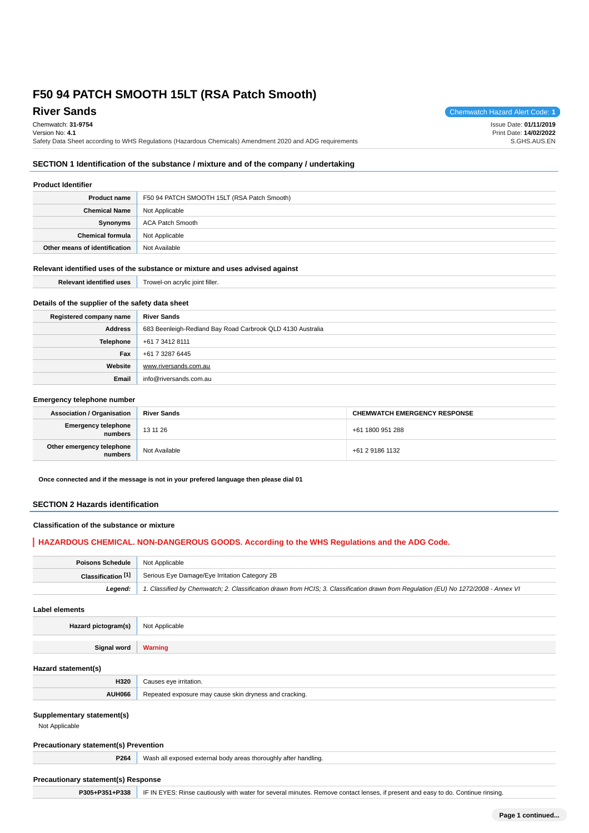# **River Sands** Chemwatch Hazard Alert Code: **1**

Chemwatch: **31-9754** Version No: **4.1** Safety Data Sheet according to WHS Regulations (Hazardous Chemicals) Amendment 2020 and ADG requirements Issue Date: **01/11/2019** Print Date: **14/02/2022** S.GHS.AUS.EN

# **SECTION 1 Identification of the substance / mixture and of the company / undertaking**

# **Product Identifier**

| <b>Product name</b>           | F50 94 PATCH SMOOTH 15LT (RSA Patch Smooth) |
|-------------------------------|---------------------------------------------|
| <b>Chemical Name</b>          | Not Applicable                              |
| Synonyms                      | ACA Patch Smooth                            |
| <b>Chemical formula</b>       | Not Applicable                              |
| Other means of identification | Not Available                               |

## **Relevant identified uses of the substance or mixture and uses advised against**

| <b>Relevant identified uses</b>                  | Trowel-on acrylic joint filler. |
|--------------------------------------------------|---------------------------------|
| Details of the supplier of the safety data sheet |                                 |
| Registered company name                          | <b>River Sands</b>              |

| Address | 683 Beenleigh-Redland Bay Road Carbrook QLD 4130 Australia |
|---------|------------------------------------------------------------|
|         | <b>Telephone</b> $+61734128111$                            |
| Fax     | +61 7 3287 6445                                            |
| Website | www.riversands.com.au                                      |
| Email   | info@riversands.com.au                                     |

# **Emergency telephone number**

| <b>Association / Organisation</b>    | <b>River Sands</b> | <b>CHEMWATCH EMERGENCY RESPONSE</b> |
|--------------------------------------|--------------------|-------------------------------------|
| Emergency telephone<br>numbers       | 13 11 26           | +61 1800 951 288                    |
| Other emergency telephone<br>numbers | Not Available      | +61 2 9186 1132                     |

**Once connected and if the message is not in your prefered language then please dial 01**

# **SECTION 2 Hazards identification**

# **Classification of the substance or mixture**

# **HAZARDOUS CHEMICAL. NON-DANGEROUS GOODS. According to the WHS Regulations and the ADG Code.**

| <b>Poisons Schedule</b> Not Applicable |                                                                                                                                     |
|----------------------------------------|-------------------------------------------------------------------------------------------------------------------------------------|
|                                        | <b>Classification [1]</b> Serious Eye Damage/Eye Irritation Category 2B                                                             |
| Leaend:                                | 1. Classified by Chemwatch; 2. Classification drawn from HCIS; 3. Classification drawn from Regulation (EU) No 1272/2008 - Annex VI |

**Label elements**

**Hazard pictogram(s)** Not Applicable

**Signal word Warning**

#### **Hazard statement(s)**

| . .           |                                                 |
|---------------|-------------------------------------------------|
| H320          | "ritation.                                      |
| <b>ANDHUA</b> | d cracking.<br>anc<br>5 NILL UL<br><b>Cause</b> |

## **Supplementary statement(s)**

Not Applicable

### **Precautionary statement(s) Prevention**

| <b>P264</b> Wash all exposed external body areas thoroughly after handling. |
|-----------------------------------------------------------------------------|

#### **Precautionary statement(s) Response**

**P305+P351+P338** IF IN EYES: Rinse cautiously with water for several minutes. Remove contact lenses, if present and easy to do. Continue rinsing.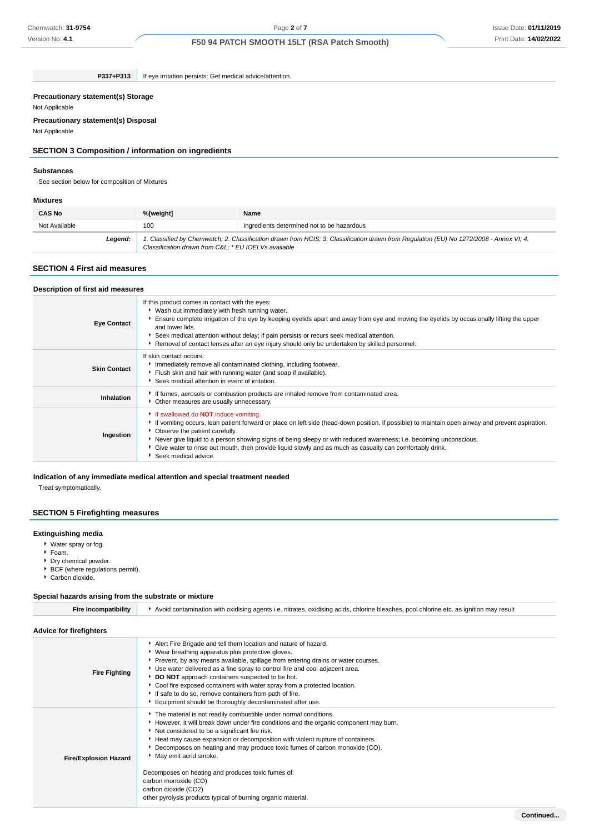Version No: **4.1**

# Issue Date: **01/11/2019** Print Date: **14/02/2022**

# **F50 94 PATCH SMOOTH 15LT (RSA Patch Smooth)**

**P337+P313** If eye irritation persists: Get medical advice/attention.

#### **Precautionary statement(s) Storage**

Not Applicable

# **Precautionary statement(s) Disposal**

Not Applicable

# **SECTION 3 Composition / information on ingredients**

## **Substances**

See section below for composition of Mixtures

#### **Mixtures**

| <b>CAS No</b> | %[weight]                                            | Name                                                                                                                                    |
|---------------|------------------------------------------------------|-----------------------------------------------------------------------------------------------------------------------------------------|
| Not Available | 100                                                  | Ingredients determined not to be hazardous                                                                                              |
| Legend:       | Classification drawn from C&L: * EU IOELVs available | 1. Classified by Chemwatch; 2. Classification drawn from HCIS; 3. Classification drawn from Regulation (EU) No 1272/2008 - Annex VI; 4. |

## **SECTION 4 First aid measures**

# **Description of first aid measures**

| <b>Eye Contact</b>  | If this product comes in contact with the eyes:<br>• Wash out immediately with fresh running water.<br>Ensure complete irrigation of the eye by keeping eyelids apart and away from eye and moving the eyelids by occasionally lifting the upper<br>and lower lids.<br>Seek medical attention without delay; if pain persists or recurs seek medical attention.<br>► Removal of contact lenses after an eye injury should only be undertaken by skilled personnel.                             |
|---------------------|------------------------------------------------------------------------------------------------------------------------------------------------------------------------------------------------------------------------------------------------------------------------------------------------------------------------------------------------------------------------------------------------------------------------------------------------------------------------------------------------|
| <b>Skin Contact</b> | If skin contact occurs:<br>Immediately remove all contaminated clothing, including footwear.<br>Flush skin and hair with running water (and soap if available).<br>Seek medical attention in event of irritation.                                                                                                                                                                                                                                                                              |
| Inhalation          | If fumes, aerosols or combustion products are inhaled remove from contaminated area.<br>• Other measures are usually unnecessary.                                                                                                                                                                                                                                                                                                                                                              |
| Ingestion           | If swallowed do <b>NOT</b> induce vomiting.<br>If vomiting occurs, lean patient forward or place on left side (head-down position, if possible) to maintain open airway and prevent aspiration.<br>• Observe the patient carefully.<br>▶ Never give liquid to a person showing signs of being sleepy or with reduced awareness; i.e. becoming unconscious.<br>Give water to rinse out mouth, then provide liquid slowly and as much as casualty can comfortably drink.<br>Seek medical advice. |

### **Indication of any immediate medical attention and special treatment needed**

Treat symptomatically.

# **SECTION 5 Firefighting measures**

#### **Extinguishing media**

- Water spray or fog.
- Foam.
- Dry chemical powder.
- ▶ BCF (where regulations permit).
- ▶ Carbon dioxide.

#### **Special hazards arising from the substrate or mixture**

| <b>Fire Incompatibility</b>    | Avoid contamination with oxidising agents i.e. nitrates, oxidising acids, chlorine bleaches, pool chlorine etc. as ignition may result                                                                                                                                                                                                                                                                                                                                                                                                                                      |  |
|--------------------------------|-----------------------------------------------------------------------------------------------------------------------------------------------------------------------------------------------------------------------------------------------------------------------------------------------------------------------------------------------------------------------------------------------------------------------------------------------------------------------------------------------------------------------------------------------------------------------------|--|
| <b>Advice for firefighters</b> |                                                                                                                                                                                                                                                                                                                                                                                                                                                                                                                                                                             |  |
| <b>Fire Fighting</b>           | Alert Fire Brigade and tell them location and nature of hazard.<br>▶ Wear breathing apparatus plus protective gloves.<br>▶ Prevent, by any means available, spillage from entering drains or water courses.<br>▶ Use water delivered as a fine spray to control fire and cool adjacent area.<br>DO NOT approach containers suspected to be hot.<br>Cool fire exposed containers with water spray from a protected location.<br>If safe to do so, remove containers from path of fire.<br>Equipment should be thoroughly decontaminated after use.                           |  |
| <b>Fire/Explosion Hazard</b>   | The material is not readily combustible under normal conditions.<br>However, it will break down under fire conditions and the organic component may burn.<br>Not considered to be a significant fire risk.<br>Heat may cause expansion or decomposition with violent rupture of containers.<br>▶ Decomposes on heating and may produce toxic fumes of carbon monoxide (CO).<br>May emit acrid smoke.<br>Decomposes on heating and produces toxic fumes of:<br>carbon monoxide (CO)<br>carbon dioxide (CO2)<br>other pyrolysis products typical of burning organic material. |  |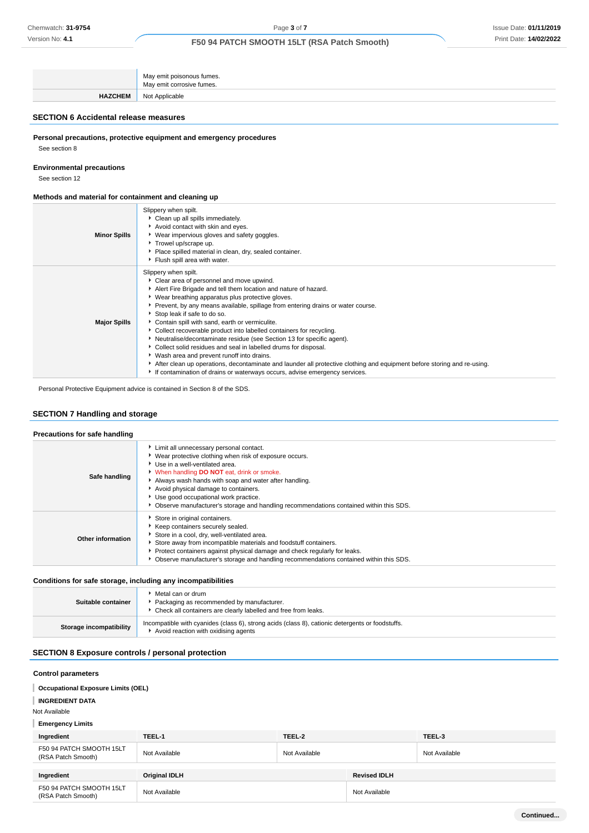|                | May emit poisonous fumes.<br>May emit corrosive fumes. |
|----------------|--------------------------------------------------------|
| <b>HAZCHEM</b> | Not Applicable                                         |

# **SECTION 6 Accidental release measures**

**Personal precautions, protective equipment and emergency procedures**

See section 8

# **Environmental precautions**

See section 12

#### **Methods and material for containment and cleaning up**

| <b>Minor Spills</b> | Slippery when spilt.<br>Clean up all spills immediately.<br>Avoid contact with skin and eyes.<br>▶ Wear impervious gloves and safety goggles.<br>Trowel up/scrape up.<br>Place spilled material in clean, dry, sealed container.<br>Fiush spill area with water.                                                                                                                                                                                                                                                                                                                                                                                                                                                                                                                                                                               |
|---------------------|------------------------------------------------------------------------------------------------------------------------------------------------------------------------------------------------------------------------------------------------------------------------------------------------------------------------------------------------------------------------------------------------------------------------------------------------------------------------------------------------------------------------------------------------------------------------------------------------------------------------------------------------------------------------------------------------------------------------------------------------------------------------------------------------------------------------------------------------|
| <b>Major Spills</b> | Slippery when spilt.<br>Clear area of personnel and move upwind.<br>Alert Fire Brigade and tell them location and nature of hazard.<br>• Wear breathing apparatus plus protective gloves.<br>Prevent, by any means available, spillage from entering drains or water course.<br>Stop leak if safe to do so.<br>• Contain spill with sand, earth or vermiculite.<br>• Collect recoverable product into labelled containers for recycling.<br>Neutralise/decontaminate residue (see Section 13 for specific agent).<br>• Collect solid residues and seal in labelled drums for disposal.<br>▶ Wash area and prevent runoff into drains.<br>After clean up operations, decontaminate and launder all protective clothing and equipment before storing and re-using.<br>If contamination of drains or waterways occurs, advise emergency services. |

Personal Protective Equipment advice is contained in Section 8 of the SDS.

# **SECTION 7 Handling and storage**

# **Precautions for safe handling**

| Safe handling     | Limit all unnecessary personal contact.<br>▶ Wear protective clothing when risk of exposure occurs.<br>▶ Use in a well-ventilated area.<br>When handling DO NOT eat, drink or smoke.<br>Always wash hands with soap and water after handling.<br>Avoid physical damage to containers.<br>▶ Use good occupational work practice.<br>Observe manufacturer's storage and handling recommendations contained within this SDS. |
|-------------------|---------------------------------------------------------------------------------------------------------------------------------------------------------------------------------------------------------------------------------------------------------------------------------------------------------------------------------------------------------------------------------------------------------------------------|
| Other information | Store in original containers.<br>Keep containers securely sealed.<br>Store in a cool, dry, well-ventilated area.<br>Store away from incompatible materials and foodstuff containers.<br>Protect containers against physical damage and check regularly for leaks.<br>Observe manufacturer's storage and handling recommendations contained within this SDS.                                                               |

#### **Conditions for safe storage, including any incompatibilities**

| Suitable container      | Metal can or drum<br>Packaging as recommended by manufacturer.<br>Check all containers are clearly labelled and free from leaks.         |
|-------------------------|------------------------------------------------------------------------------------------------------------------------------------------|
| Storage incompatibility | Incompatible with cyanides (class 6), strong acids (class 8), cationic detergents or foodstuffs.<br>Avoid reaction with oxidising agents |

# **SECTION 8 Exposure controls / personal protection**

#### **Control parameters**

**Occupational Exposure Limits (OEL)**

### **INGREDIENT DATA**

Not Available

## **Emergency Limits**

| Ingredient                                     | TEEL-1               | TEEL-2        |                     | TEEL-3        |
|------------------------------------------------|----------------------|---------------|---------------------|---------------|
| F50 94 PATCH SMOOTH 15LT<br>(RSA Patch Smooth) | Not Available        | Not Available |                     | Not Available |
|                                                |                      |               |                     |               |
| Ingredient                                     | <b>Original IDLH</b> |               | <b>Revised IDLH</b> |               |
| F50 94 PATCH SMOOTH 15LT<br>(RSA Patch Smooth) | Not Available        |               | Not Available       |               |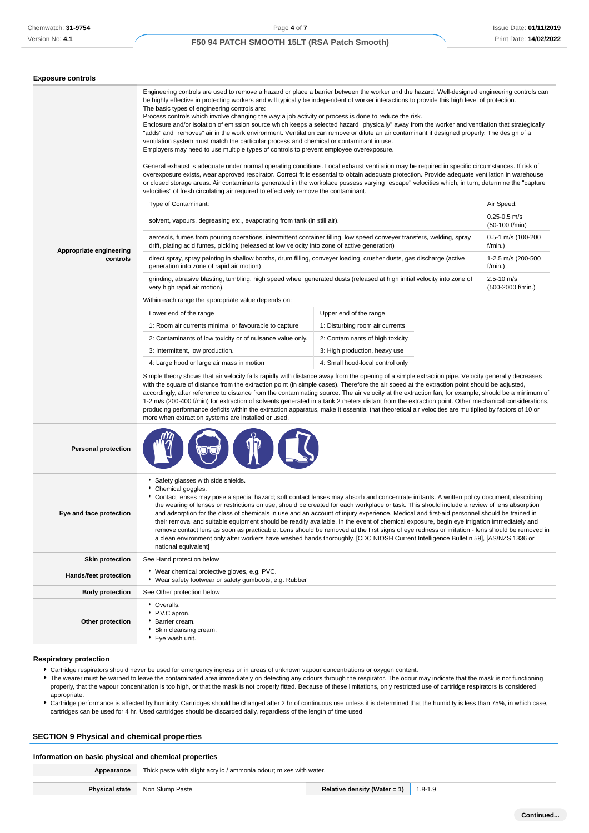**Exposure controls**

# **F50 94 PATCH SMOOTH 15LT (RSA Patch Smooth)**

| Exposure controls                   |                                                                                                                                                                                                                                                                                                                                                                                                                                                                                                                                                                                                                                                                                                                                                                                                                                                                                                                                                                                                                                                                                                                                                                                                                                                                                                                                                                                                                                                                                                                                                                                                                                                                                                                                                                                                                                                                                                                                                                                                                                                                                                                                                                                                                                                                                                                                                                                                                                                                                                                                                                                                                                                                                                                                                                                                                                                                                                                                                                                                                                                                                                                                                                                                                                    |                                                                                                                                                              |  |  |
|-------------------------------------|------------------------------------------------------------------------------------------------------------------------------------------------------------------------------------------------------------------------------------------------------------------------------------------------------------------------------------------------------------------------------------------------------------------------------------------------------------------------------------------------------------------------------------------------------------------------------------------------------------------------------------------------------------------------------------------------------------------------------------------------------------------------------------------------------------------------------------------------------------------------------------------------------------------------------------------------------------------------------------------------------------------------------------------------------------------------------------------------------------------------------------------------------------------------------------------------------------------------------------------------------------------------------------------------------------------------------------------------------------------------------------------------------------------------------------------------------------------------------------------------------------------------------------------------------------------------------------------------------------------------------------------------------------------------------------------------------------------------------------------------------------------------------------------------------------------------------------------------------------------------------------------------------------------------------------------------------------------------------------------------------------------------------------------------------------------------------------------------------------------------------------------------------------------------------------------------------------------------------------------------------------------------------------------------------------------------------------------------------------------------------------------------------------------------------------------------------------------------------------------------------------------------------------------------------------------------------------------------------------------------------------------------------------------------------------------------------------------------------------------------------------------------------------------------------------------------------------------------------------------------------------------------------------------------------------------------------------------------------------------------------------------------------------------------------------------------------------------------------------------------------------------------------------------------------------------------------------------------------------|--------------------------------------------------------------------------------------------------------------------------------------------------------------|--|--|
| Appropriate engineering<br>controls | Engineering controls are used to remove a hazard or place a barrier between the worker and the hazard. Well-designed engineering controls can<br>be highly effective in protecting workers and will typically be independent of worker interactions to provide this high level of protection.<br>The basic types of engineering controls are:<br>Process controls which involve changing the way a job activity or process is done to reduce the risk.<br>Enclosure and/or isolation of emission source which keeps a selected hazard "physically" away from the worker and ventilation that strategically<br>"adds" and "removes" air in the work environment. Ventilation can remove or dilute an air contaminant if designed properly. The design of a<br>ventilation system must match the particular process and chemical or contaminant in use.<br>Employers may need to use multiple types of controls to prevent employee overexposure.<br>General exhaust is adequate under normal operating conditions. Local exhaust ventilation may be required in specific circumstances. If risk of<br>overexposure exists, wear approved respirator. Correct fit is essential to obtain adequate protection. Provide adequate ventilation in warehouse<br>or closed storage areas. Air contaminants generated in the workplace possess varying "escape" velocities which, in turn, determine the "capture<br>velocities" of fresh circulating air required to effectively remove the contaminant.<br>Type of Contaminant:<br>solvent, vapours, degreasing etc., evaporating from tank (in still air).<br>aerosols, fumes from pouring operations, intermittent container filling, low speed conveyer transfers, welding, spray<br>drift, plating acid fumes, pickling (released at low velocity into zone of active generation)<br>direct spray, spray painting in shallow booths, drum filling, conveyer loading, crusher dusts, gas discharge (active<br>generation into zone of rapid air motion)<br>grinding, abrasive blasting, tumbling, high speed wheel generated dusts (released at high initial velocity into zone of<br>very high rapid air motion).<br>Within each range the appropriate value depends on:<br>Lower end of the range<br>1: Room air currents minimal or favourable to capture<br>2: Contaminants of low toxicity or of nuisance value only.<br>3: Intermittent, low production.<br>4: Large hood or large air mass in motion<br>Simple theory shows that air velocity falls rapidly with distance away from the opening of a simple extraction pipe. Velocity generally decreases<br>with the square of distance from the extraction point (in simple cases). Therefore the air speed at the extraction point should be adjusted,<br>accordingly, after reference to distance from the contaminating source. The air velocity at the extraction fan, for example, should be a minimum of<br>1-2 m/s (200-400 f/min) for extraction of solvents generated in a tank 2 meters distant from the extraction point. Other mechanical considerations,<br>producing performance deficits within the extraction apparatus, make it essential that theoretical air velocities are multiplied by factors of 10 or | Air Speed:<br>$0.25 - 0.5$ m/s<br>(50-100 f/min)<br>0.5-1 m/s (100-200<br>$f/min.$ )<br>1-2.5 m/s (200-500<br>f/min.)<br>$2.5 - 10$ m/s<br>(500-2000 f/min.) |  |  |
| <b>Personal protection</b>          | more when extraction systems are installed or used.                                                                                                                                                                                                                                                                                                                                                                                                                                                                                                                                                                                                                                                                                                                                                                                                                                                                                                                                                                                                                                                                                                                                                                                                                                                                                                                                                                                                                                                                                                                                                                                                                                                                                                                                                                                                                                                                                                                                                                                                                                                                                                                                                                                                                                                                                                                                                                                                                                                                                                                                                                                                                                                                                                                                                                                                                                                                                                                                                                                                                                                                                                                                                                                |                                                                                                                                                              |  |  |
|                                     |                                                                                                                                                                                                                                                                                                                                                                                                                                                                                                                                                                                                                                                                                                                                                                                                                                                                                                                                                                                                                                                                                                                                                                                                                                                                                                                                                                                                                                                                                                                                                                                                                                                                                                                                                                                                                                                                                                                                                                                                                                                                                                                                                                                                                                                                                                                                                                                                                                                                                                                                                                                                                                                                                                                                                                                                                                                                                                                                                                                                                                                                                                                                                                                                                                    |                                                                                                                                                              |  |  |
| Eye and face protection             | Safety glasses with side shields.<br>Chemical goggles.<br>Contact lenses may pose a special hazard; soft contact lenses may absorb and concentrate irritants. A written policy document, describing<br>the wearing of lenses or restrictions on use, should be created for each workplace or task. This should include a review of lens absorption<br>and adsorption for the class of chemicals in use and an account of injury experience. Medical and first-aid personnel should be trained in<br>their removal and suitable equipment should be readily available. In the event of chemical exposure, begin eye irrigation immediately and<br>remove contact lens as soon as practicable. Lens should be removed at the first signs of eye redness or irritation - lens should be removed in<br>a clean environment only after workers have washed hands thoroughly. [CDC NIOSH Current Intelligence Bulletin 59], [AS/NZS 1336 or<br>national equivalent]                                                                                                                                                                                                                                                                                                                                                                                                                                                                                                                                                                                                                                                                                                                                                                                                                                                                                                                                                                                                                                                                                                                                                                                                                                                                                                                                                                                                                                                                                                                                                                                                                                                                                                                                                                                                                                                                                                                                                                                                                                                                                                                                                                                                                                                                      |                                                                                                                                                              |  |  |
| <b>Skin protection</b>              | See Hand protection below                                                                                                                                                                                                                                                                                                                                                                                                                                                                                                                                                                                                                                                                                                                                                                                                                                                                                                                                                                                                                                                                                                                                                                                                                                                                                                                                                                                                                                                                                                                                                                                                                                                                                                                                                                                                                                                                                                                                                                                                                                                                                                                                                                                                                                                                                                                                                                                                                                                                                                                                                                                                                                                                                                                                                                                                                                                                                                                                                                                                                                                                                                                                                                                                          |                                                                                                                                                              |  |  |
| Hands/feet protection               | ▶ Wear chemical protective gloves, e.g. PVC.<br>▶ Wear safety footwear or safety gumboots, e.g. Rubber                                                                                                                                                                                                                                                                                                                                                                                                                                                                                                                                                                                                                                                                                                                                                                                                                                                                                                                                                                                                                                                                                                                                                                                                                                                                                                                                                                                                                                                                                                                                                                                                                                                                                                                                                                                                                                                                                                                                                                                                                                                                                                                                                                                                                                                                                                                                                                                                                                                                                                                                                                                                                                                                                                                                                                                                                                                                                                                                                                                                                                                                                                                             |                                                                                                                                                              |  |  |
| <b>Body protection</b>              | See Other protection below                                                                                                                                                                                                                                                                                                                                                                                                                                                                                                                                                                                                                                                                                                                                                                                                                                                                                                                                                                                                                                                                                                                                                                                                                                                                                                                                                                                                                                                                                                                                                                                                                                                                                                                                                                                                                                                                                                                                                                                                                                                                                                                                                                                                                                                                                                                                                                                                                                                                                                                                                                                                                                                                                                                                                                                                                                                                                                                                                                                                                                                                                                                                                                                                         |                                                                                                                                                              |  |  |
| Other protection                    | • Overalls.<br>P.V.C apron.<br>Barrier cream.<br>Skin cleansing cream.<br>▶ Eye wash unit.                                                                                                                                                                                                                                                                                                                                                                                                                                                                                                                                                                                                                                                                                                                                                                                                                                                                                                                                                                                                                                                                                                                                                                                                                                                                                                                                                                                                                                                                                                                                                                                                                                                                                                                                                                                                                                                                                                                                                                                                                                                                                                                                                                                                                                                                                                                                                                                                                                                                                                                                                                                                                                                                                                                                                                                                                                                                                                                                                                                                                                                                                                                                         |                                                                                                                                                              |  |  |

# **Respiratory protection**

Cartridge respirators should never be used for emergency ingress or in areas of unknown vapour concentrations or oxygen content.

The wearer must be warned to leave the contaminated area immediately on detecting any odours through the respirator. The odour may indicate that the mask is not functioning properly, that the vapour concentration is too high, or that the mask is not properly fitted. Because of these limitations, only restricted use of cartridge respirators is considered appropriate.

Fartridge performance is affected by humidity. Cartridges should be changed after 2 hr of continuous use unless it is determined that the humidity is less than 75%, in which case, cartridges can be used for 4 hr. Used cartridges should be discarded daily, regardless of the length of time used

# **SECTION 9 Physical and chemical properties**

#### **Information on basic physical and chemical properties**

| Appearance            | Thick paste with slight acrylic / ammonia odour; mixes with water. |                              |             |
|-----------------------|--------------------------------------------------------------------|------------------------------|-------------|
| <b>Physical state</b> | Non Slump Paste                                                    | Relative density (Water = 1) | $1.8 - 1.9$ |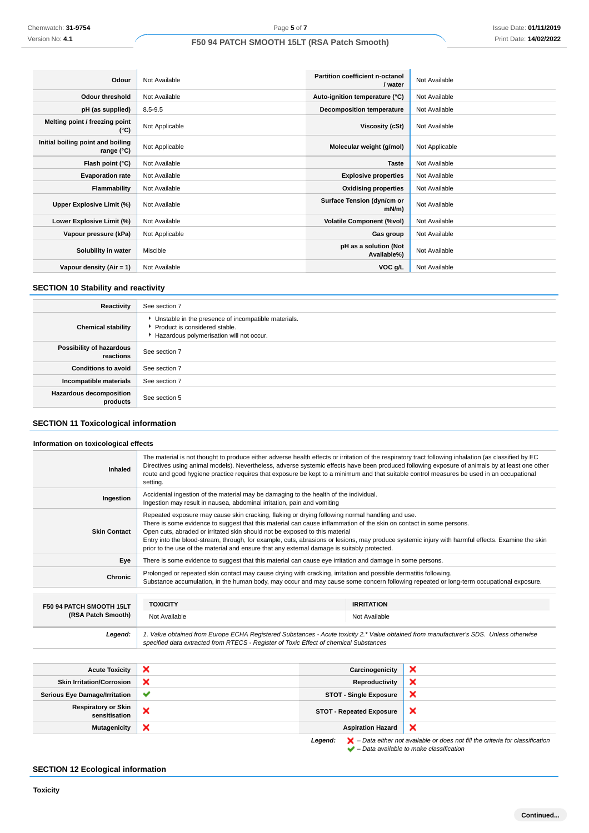| Odour                                           | Not Available  | <b>Partition coefficient n-octanol</b><br>/ water | Not Available  |
|-------------------------------------------------|----------------|---------------------------------------------------|----------------|
| <b>Odour threshold</b>                          | Not Available  | Auto-ignition temperature (°C)                    | Not Available  |
| pH (as supplied)                                | $8.5 - 9.5$    | <b>Decomposition temperature</b>                  | Not Available  |
| Melting point / freezing point<br>(°C)          | Not Applicable | Viscosity (cSt)                                   | Not Available  |
| Initial boiling point and boiling<br>range (°C) | Not Applicable | Molecular weight (g/mol)                          | Not Applicable |
| Flash point (°C)                                | Not Available  | <b>Taste</b>                                      | Not Available  |
| <b>Evaporation rate</b>                         | Not Available  | <b>Explosive properties</b>                       | Not Available  |
| Flammability                                    | Not Available  | <b>Oxidising properties</b>                       | Not Available  |
| Upper Explosive Limit (%)                       | Not Available  | Surface Tension (dyn/cm or<br>$mN/m$ )            | Not Available  |
| Lower Explosive Limit (%)                       | Not Available  | <b>Volatile Component (%vol)</b>                  | Not Available  |
| Vapour pressure (kPa)                           | Not Applicable | Gas group                                         | Not Available  |
| Solubility in water                             | Miscible       | pH as a solution (Not<br>Available%)              | Not Available  |
| Vapour density (Air = 1)                        | Not Available  | VOC g/L                                           | Not Available  |

# **SECTION 10 Stability and reactivity**

| Reactivity                                 | See section 7                                                                                                                        |
|--------------------------------------------|--------------------------------------------------------------------------------------------------------------------------------------|
| <b>Chemical stability</b>                  | • Unstable in the presence of incompatible materials.<br>▶ Product is considered stable.<br>Hazardous polymerisation will not occur. |
| Possibility of hazardous<br>reactions      | See section 7                                                                                                                        |
| <b>Conditions to avoid</b>                 | See section 7                                                                                                                        |
| Incompatible materials                     | See section 7                                                                                                                        |
| <b>Hazardous decomposition</b><br>products | See section 5                                                                                                                        |

# **SECTION 11 Toxicological information**

# **Information on toxicological effects**

| Inhaled                  | The material is not thought to produce either adverse health effects or irritation of the respiratory tract following inhalation (as classified by EC<br>Directives using animal models). Nevertheless, adverse systemic effects have been produced following exposure of animals by at least one other<br>route and good hygiene practice requires that exposure be kept to a minimum and that suitable control measures be used in an occupational<br>setting.                                                                                          |                   |  |
|--------------------------|-----------------------------------------------------------------------------------------------------------------------------------------------------------------------------------------------------------------------------------------------------------------------------------------------------------------------------------------------------------------------------------------------------------------------------------------------------------------------------------------------------------------------------------------------------------|-------------------|--|
| Ingestion                | Accidental ingestion of the material may be damaging to the health of the individual.<br>Ingestion may result in nausea, abdominal irritation, pain and vomiting                                                                                                                                                                                                                                                                                                                                                                                          |                   |  |
| <b>Skin Contact</b>      | Repeated exposure may cause skin cracking, flaking or drying following normal handling and use.<br>There is some evidence to suggest that this material can cause inflammation of the skin on contact in some persons.<br>Open cuts, abraded or irritated skin should not be exposed to this material<br>Entry into the blood-stream, through, for example, cuts, abrasions or lesions, may produce systemic injury with harmful effects. Examine the skin<br>prior to the use of the material and ensure that any external damage is suitably protected. |                   |  |
| Eye                      | There is some evidence to suggest that this material can cause eye irritation and damage in some persons.                                                                                                                                                                                                                                                                                                                                                                                                                                                 |                   |  |
| Chronic                  | Prolonged or repeated skin contact may cause drying with cracking, irritation and possible dermatitis following.<br>Substance accumulation, in the human body, may occur and may cause some concern following repeated or long-term occupational exposure.                                                                                                                                                                                                                                                                                                |                   |  |
|                          |                                                                                                                                                                                                                                                                                                                                                                                                                                                                                                                                                           |                   |  |
| F50 94 PATCH SMOOTH 15LT | <b>TOXICITY</b>                                                                                                                                                                                                                                                                                                                                                                                                                                                                                                                                           | <b>IRRITATION</b> |  |
| (RSA Patch Smooth)       | Not Available                                                                                                                                                                                                                                                                                                                                                                                                                                                                                                                                             | Not Available     |  |
| Legend:                  | 1. Value obtained from Europe ECHA Registered Substances - Acute toxicity 2.* Value obtained from manufacturer's SDS. Unless otherwise<br>specified data extracted from RTECS - Register of Toxic Effect of chemical Substances                                                                                                                                                                                                                                                                                                                           |                   |  |

| <b>Acute Toxicity</b>                       | ×            | Carcinogenicity                 | ×                         |
|---------------------------------------------|--------------|---------------------------------|---------------------------|
| <b>Skin Irritation/Corrosion</b>            | ×            | Reproductivity                  | $\boldsymbol{\mathsf{x}}$ |
| <b>Serious Eye Damage/Irritation</b>        | $\checkmark$ | <b>STOT - Single Exposure</b>   | ×                         |
| <b>Respiratory or Skin</b><br>sensitisation | ×            | <b>STOT - Repeated Exposure</b> | ×                         |
| <b>Mutagenicity</b>                         | ×            | <b>Aspiration Hazard</b>        | ×                         |
|                                             |              |                                 |                           |

**Legend:**  $\mathbf{X}$  – Data either not available or does not fill the criteria for classification – Data available to make classification

# **SECTION 12 Ecological information**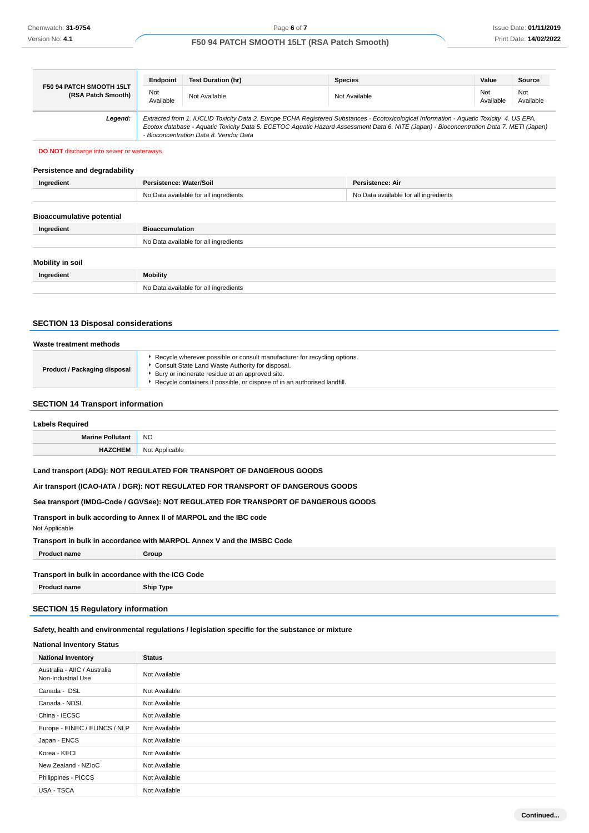|                                                | Endpoint                                                                                                                                                                                                                                                                                                                       | <b>Test Duration (hr)</b> | <b>Species</b> | Value            | Source           |
|------------------------------------------------|--------------------------------------------------------------------------------------------------------------------------------------------------------------------------------------------------------------------------------------------------------------------------------------------------------------------------------|---------------------------|----------------|------------------|------------------|
| F50 94 PATCH SMOOTH 15LT<br>(RSA Patch Smooth) | Not<br>Available                                                                                                                                                                                                                                                                                                               | Not Available             | Not Available  | Not<br>Available | Not<br>Available |
| Legend:                                        | Extracted from 1. IUCLID Toxicity Data 2. Europe ECHA Registered Substances - Ecotoxicological Information - Aquatic Toxicity 4. US EPA,<br>Ecotox database - Aquatic Toxicity Data 5. ECETOC Aquatic Hazard Assessment Data 6. NITE (Japan) - Bioconcentration Data 7. METI (Japan)<br>- Bioconcentration Data 8. Vendor Data |                           |                |                  |                  |

### **DO NOT** discharge into sewer or waterways.

#### **Persistence and degradability**

| Ingredient                       | Persistence: Water/Soil               | Persistence: Air                      |
|----------------------------------|---------------------------------------|---------------------------------------|
|                                  | No Data available for all ingredients | No Data available for all ingredients |
|                                  |                                       |                                       |
| <b>Bioaccumulative potential</b> |                                       |                                       |
| Ingredient                       | <b>Bioaccumulation</b>                |                                       |
|                                  | No Data available for all ingredients |                                       |
|                                  |                                       |                                       |
| <b>Mobility in soil</b>          |                                       |                                       |
| Ingredient                       | <b>Mobility</b>                       |                                       |
|                                  | No Data available for all ingredients |                                       |
|                                  |                                       |                                       |

# **SECTION 13 Disposal considerations**

| Waste treatment methods             |                                                                                                                                                                                                                                                             |  |
|-------------------------------------|-------------------------------------------------------------------------------------------------------------------------------------------------------------------------------------------------------------------------------------------------------------|--|
| <b>Product / Packaging disposal</b> | Recycle wherever possible or consult manufacturer for recycling options.<br>Consult State Land Waste Authority for disposal.<br>Bury or incinerate residue at an approved site.<br>Recycle containers if possible, or dispose of in an authorised landfill. |  |

## **SECTION 14 Transport information**

| <b>Labels Required</b>  |                |  |
|-------------------------|----------------|--|
| <b>Marine Pollutant</b> | <b>NO</b>      |  |
|                         | Not<br>ucable. |  |

# **Land transport (ADG): NOT REGULATED FOR TRANSPORT OF DANGEROUS GOODS**

#### **Air transport (ICAO-IATA / DGR): NOT REGULATED FOR TRANSPORT OF DANGEROUS GOODS**

# **Sea transport (IMDG-Code / GGVSee): NOT REGULATED FOR TRANSPORT OF DANGEROUS GOODS**

#### **Transport in bulk according to Annex II of MARPOL and the IBC code**

| Not Applicable                                                         |  |
|------------------------------------------------------------------------|--|
| Transport in bulk in accordance with MARPOL Annex V and the IMSBC Code |  |

**Product name Group**

## **Transport in bulk in accordance with the ICG Code**

**Product name Ship Type**

# **SECTION 15 Regulatory information**

# **Safety, health and environmental regulations / legislation specific for the substance or mixture**

# **National Inventory Status**

| <b>National Inventory</b>                          | <b>Status</b> |
|----------------------------------------------------|---------------|
| Australia - AIIC / Australia<br>Non-Industrial Use | Not Available |
| Canada - DSL                                       | Not Available |
| Canada - NDSL                                      | Not Available |
| China - IECSC                                      | Not Available |
| Europe - EINEC / ELINCS / NLP                      | Not Available |
| Japan - ENCS                                       | Not Available |
| Korea - KECI                                       | Not Available |
| New Zealand - NZIoC                                | Not Available |
| Philippines - PICCS                                | Not Available |
| USA - TSCA                                         | Not Available |